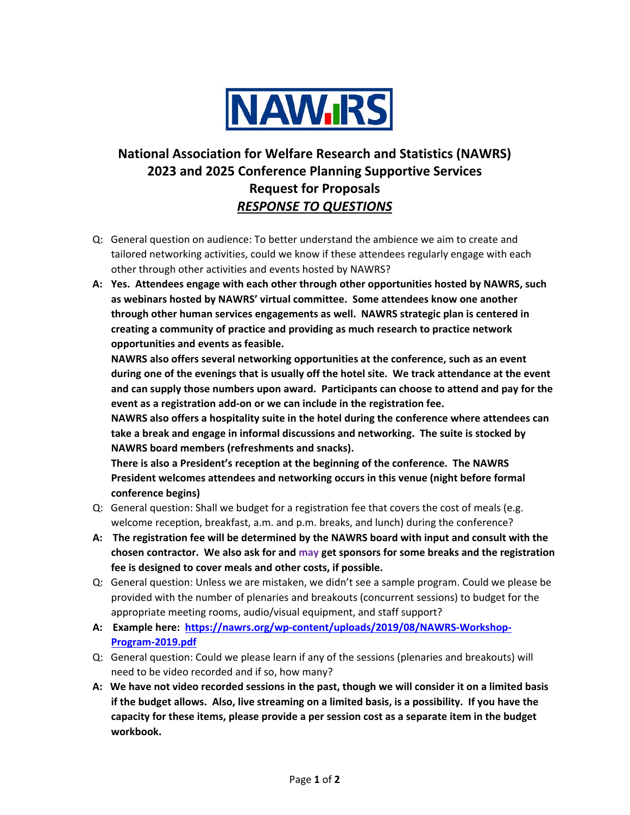

## **National Association for Welfare Research and Statistics (NAWRS) 2023 and 2025 Conference Planning Supportive Services Request for Proposals** *RESPONSE TO QUESTIONS*

- Q: General question on audience: To better understand the ambience we aim to create and tailored networking activities, could we know if these attendees regularly engage with each other through other activities and events hosted by NAWRS?
- **A: Yes. Attendees engage with each other through other opportunities hosted by NAWRS, such as webinars hosted by NAWRS' virtual committee. Some attendees know one another through other human services engagements as well. NAWRS strategic plan is centered in creating a community of practice and providing as much research to practice network opportunities and events as feasible.**

**NAWRS also offers several networking opportunities at the conference, such as an event during one of the evenings that is usually off the hotel site. We track attendance at the event and can supply those numbers upon award. Participants can choose to attend and pay for the event as a registration add-on or we can include in the registration fee.** 

**NAWRS also offers a hospitality suite in the hotel during the conference where attendees can take a break and engage in informal discussions and networking. The suite is stocked by NAWRS board members (refreshments and snacks).**

**There is also a President's reception at the beginning of the conference. The NAWRS President welcomes attendees and networking occurs in this venue (night before formal conference begins)**

- Q: General question: Shall we budget for a registration fee that covers the cost of meals (e.g. welcome reception, breakfast, a.m. and p.m. breaks, and lunch) during the conference?
- **A: The registration fee will be determined by the NAWRS board with input and consult with the chosen contractor. We also ask for and may get sponsors for some breaks and the registration fee is designed to cover meals and other costs, if possible.**
- Q: General question: Unless we are mistaken, we didn't see a sample program. Could we please be provided with the number of plenaries and breakouts (concurrent sessions) to budget for the appropriate meeting rooms, audio/visual equipment, and staff support?
- **A: Example here: https://nawrs.org/wp-content/uploads/2019/08/NAWRS-Workshop-Program-2019.pdf**
- Q: General question: Could we please learn if any of the sessions (plenaries and breakouts) will need to be video recorded and if so, how many?
- **A: We have not video recorded sessions in the past, though we will consider it on a limited basis if the budget allows. Also, live streaming on a limited basis, is a possibility. If you have the capacity for these items, please provide a per session cost as a separate item in the budget workbook.**